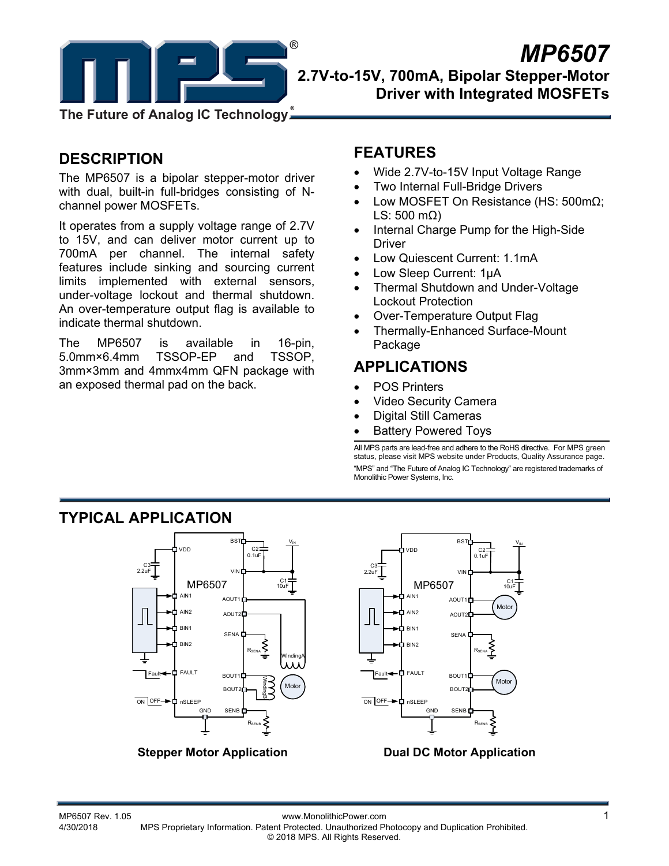

### *MP6507*  **2.7V-to-15V, 700mA, Bipolar Stepper-Motor Driver with Integrated MOSFETs**

**The Future of Analog IC Technology**

### **DESCRIPTION**

The MP6507 is a bipolar stepper-motor driver with dual, built-in full-bridges consisting of Nchannel power MOSFETs.

It operates from a supply voltage range of 2.7V to 15V, and can deliver motor current up to 700mA per channel. The internal safety features include sinking and sourcing current limits implemented with external sensors, under-voltage lockout and thermal shutdown. An over-temperature output flag is available to indicate thermal shutdown.

The MP6507 is available in 16-pin, 5.0mm×6.4mm TSSOP-EP and TSSOP, 3mm×3mm and 4mmx4mm QFN package with an exposed thermal pad on the back.

**TYPICAL APPLICATION** 

### **FEATURES**

- Wide 2.7V-to-15V Input Voltage Range
- Two Internal Full-Bridge Drivers
- Low MOSFET On Resistance (HS: 500mΩ; LS: 500 m $\Omega$ )
- Internal Charge Pump for the High-Side **Driver**
- Low Quiescent Current: 1.1mA
- Low Sleep Current: 1μA
- Thermal Shutdown and Under-Voltage Lockout Protection
- Over-Temperature Output Flag
- Thermally-Enhanced Surface-Mount Package

## **APPLICATIONS**

- POS Printers
- Video Security Camera
- Digital Still Cameras
- Battery Powered Toys

All MPS parts are lead-free and adhere to the RoHS directive. For MPS green status, please visit MPS website under Products, Quality Assurance page. "MPS" and "The Future of Analog IC Technology" are registered trademarks of Monolithic Power Systems, Inc.





**Stepper Motor Application Dual DC Motor Application**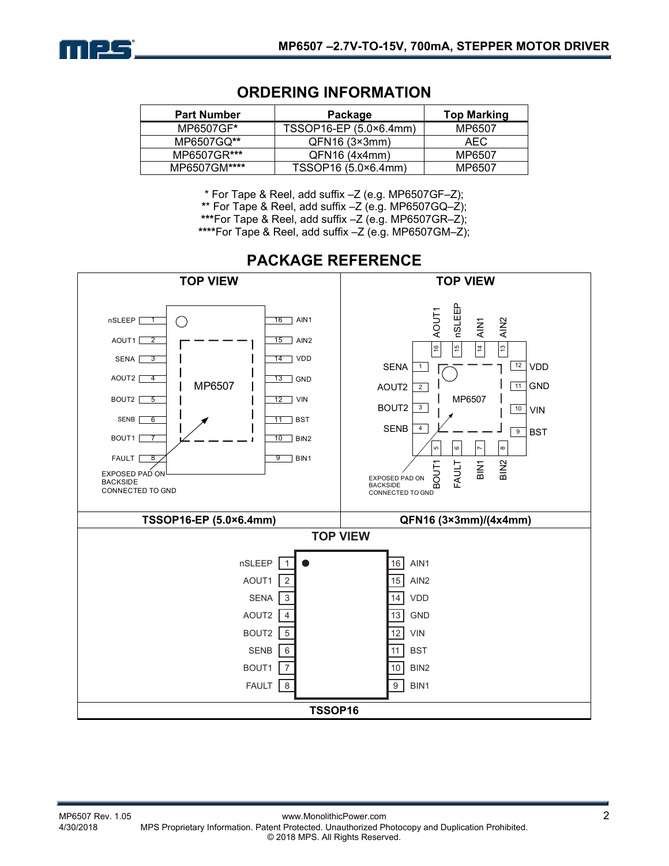

| <b>Part Number</b> | Package                | <b>Top Marking</b> |
|--------------------|------------------------|--------------------|
| MP6507GF*          | TSSOP16-EP (5.0×6.4mm) | MP6507             |
| MP6507GQ**         | QFN16 (3×3mm)          | AEC.               |
| MP6507GR***        | QFN16(4x4mm)           | MP6507             |
| MP6507GM****       | TSSOP16 (5.0×6.4mm)    | MP6507             |

### **ORDERING INFORMATION**

\* For Tape & Reel, add suffix –Z (e.g. MP6507GF–Z);

**\***\* For Tape & Reel, add suffix –Z (e.g. MP6507GQ–Z);

**\*\*\***For Tape & Reel, add suffix –Z (e.g. MP6507GR–Z);

**\*\*\*\***For Tape & Reel, add suffix –Z (e.g. MP6507GM–Z);



### **PACKAGE REFERENCE**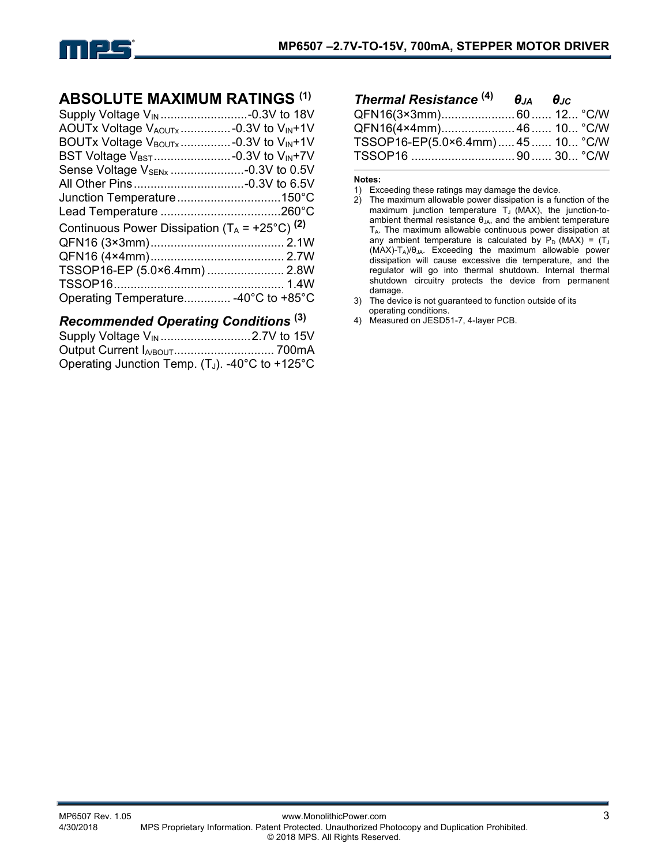

### **ABSOLUTE MAXIMUM RATINGS (1)**

| Supply Voltage V <sub>IN</sub> -0.3V to 18V                   |  |
|---------------------------------------------------------------|--|
| AOUTx Voltage VAOUTx-0.3V to VIN+1V                           |  |
| BOUTx Voltage V <sub>BOUTx</sub> -0.3V to V <sub>IN</sub> +1V |  |
|                                                               |  |
| Sense Voltage V <sub>SENx</sub> -0.3V to 0.5V                 |  |
|                                                               |  |
| Junction Temperature150°C                                     |  |
|                                                               |  |
| Continuous Power Dissipation $(T_A = +25^{\circ}C)^{(2)}$     |  |
|                                                               |  |
|                                                               |  |
| TSSOP16-EP (5.0×6.4mm)  2.8W                                  |  |
|                                                               |  |
| Operating Temperature -40°C to +85°C                          |  |

### *Recommended Operating Conditions* **(3)**

| Operating Junction Temp. (T <sub>J</sub> ). -40°C to +125°C |  |
|-------------------------------------------------------------|--|

| Thermal Resistance <sup>(4)</sup> | $\theta_{JA}$ $\theta_{JC}$ |  |
|-----------------------------------|-----------------------------|--|
| QFN16(3×3mm)60 12 °C/W            |                             |  |
| QFN16(4×4mm) 46 10 °C/W           |                             |  |
| TSSOP16-EP(5.0×6.4mm) 45 10 °C/W  |                             |  |
|                                   |                             |  |

#### **Notes:**

- 2) The maximum allowable power dissipation is a function of the maximum junction temperature  $T_J$  (MAX), the junction-toambient thermal resistance  $\theta_{JA}$ , and the ambient temperature  $T_A$ . The maximum allowable continuous power dissipation at any ambient temperature is calculated by  $P_D$  (MAX) = (T<sub>J</sub>  $(MAX)-T_A)/\theta_{JA}$ . Exceeding the maximum allowable power dissipation will cause excessive die temperature, and the regulator will go into thermal shutdown. Internal thermal shutdown circuitry protects the device from permanent damage.
- 3) The device is not guaranteed to function outside of its operating conditions.
- 4) Measured on JESD51-7, 4-layer PCB.

<sup>1)</sup> Exceeding these ratings may damage the device.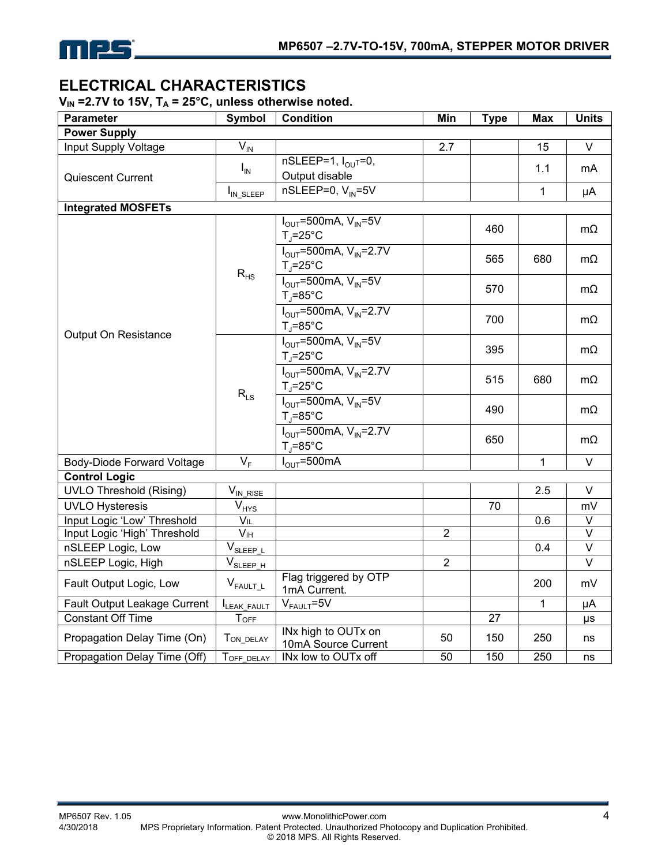

### **ELECTRICAL CHARACTERISTICS**

V<sub>IN</sub> = 2.7V to 15V, T<sub>A</sub> = 25°C, unless otherwise noted.

| <b>Parameter</b>               | <b>Symbol</b>                   | <b>Condition</b>                                                                         | Min            | <b>Type</b>     | <b>Max</b>   | <b>Units</b> |
|--------------------------------|---------------------------------|------------------------------------------------------------------------------------------|----------------|-----------------|--------------|--------------|
| <b>Power Supply</b>            |                                 |                                                                                          |                |                 |              |              |
| Input Supply Voltage           | $\overline{V}_{I\underline{N}}$ |                                                                                          | 2.7            |                 | 15           | $\vee$       |
| <b>Quiescent Current</b>       | $I_{\text{IN}}$                 | $nSLEEP=1, IOUT=0,$<br>Output disable                                                    |                |                 | 1.1          | mA           |
|                                | I <sub>IN_SLEEP</sub>           | $nSLEEP=0, V_{IN}=5V$                                                                    |                |                 | 1            | μA           |
| <b>Integrated MOSFETs</b>      |                                 |                                                                                          |                |                 |              |              |
|                                |                                 | $I_{OUT}$ =500mA, $V_{IN}$ =5V<br>$T_i = 25^\circ C$                                     |                | 460             |              | $m\Omega$    |
|                                | $\rm R_{HS}$                    | $I_{\text{OUT}} = 500 \text{mA}, V_{\text{IN}} = 2.7 V$<br>$T_{\parallel} = 25^{\circ}C$ |                | 565             | 680          | mΩ           |
|                                |                                 | $I_{OUT}$ =500mA, $V_{IN}$ =5V<br>$T_i = 85^{\circ}C$                                    |                | 570             |              | $m\Omega$    |
| Output On Resistance           |                                 | $I_{OUT} = 500$ mA, $V_{IN} = 2.7V$<br>$T_{\parallel} = 85^{\circ}$ C                    |                | 700             |              | $m\Omega$    |
|                                | $R_{LS}$                        | $I_{\text{OUT}}$ =500mA, $V_{\text{IN}}$ =5V<br>$T_{\parallel} = 25^{\circ}C$            |                | 395             |              | mΩ           |
|                                |                                 | $I_{OUT} = 500$ mA, $V_{IN} = 2.7V$<br>$T_i = 25^{\circ}C$                               |                | 515             | 680          | $m\Omega$    |
|                                |                                 | $I_{\text{OUT}}$ =500mA, $V_{\text{IN}}$ =5V<br>$T_{\parallel} = 85^{\circ}$ C           |                | 490             |              | mΩ           |
|                                |                                 | $I_{\text{OUT}} = 500 \text{mA}, V_{\text{IN}} = 2.7 V$<br>$T_i = 85^\circ C$            |                | 650             |              | $m\Omega$    |
| Body-Diode Forward Voltage     | $V_F$                           | $I_{OUT}$ =500mA                                                                         |                |                 | $\mathbf{1}$ | $\vee$       |
| <b>Control Logic</b>           |                                 |                                                                                          |                |                 |              |              |
| <b>UVLO Threshold (Rising)</b> | $V_{IN\_RISE}$                  |                                                                                          |                |                 | 2.5          | $\vee$       |
| <b>UVLO Hysteresis</b>         | $V_{HYS}$                       |                                                                                          |                | 70              |              | mV           |
| Input Logic 'Low' Threshold    | $V_{IL}$                        |                                                                                          |                |                 | 0.6          | $\sf V$      |
| Input Logic 'High' Threshold   | V <sub>IH</sub>                 |                                                                                          | $\overline{2}$ |                 |              | $\vee$       |
| nSLEEP Logic, Low              | $V_{SLEPP L}$                   |                                                                                          |                |                 | 0.4          | $\vee$       |
| nSLEEP Logic, High             | $V_{SLEPP_H}$                   |                                                                                          | $\overline{2}$ |                 |              | $\vee$       |
| Fault Output Logic, Low        | $V_{FAULT\_L}$                  | Flag triggered by OTP<br>1mA Current.                                                    |                |                 | 200          | mV           |
| Fault Output Leakage Current   | LEAK_FAULT                      | $V_{FAULT} = 5V$                                                                         |                |                 | $\mathbf{1}$ | μA           |
| <b>Constant Off Time</b>       | <b>TOFF</b>                     |                                                                                          |                | $\overline{27}$ |              | μs           |
| Propagation Delay Time (On)    | TON_DELAY                       | INx high to OUTx on<br>10mA Source Current                                               | 50             | 150             | 250          | ns           |
| Propagation Delay Time (Off)   | TOFF_DELAY                      | INx low to OUTx off                                                                      | 50             | 150             | 250          | ns           |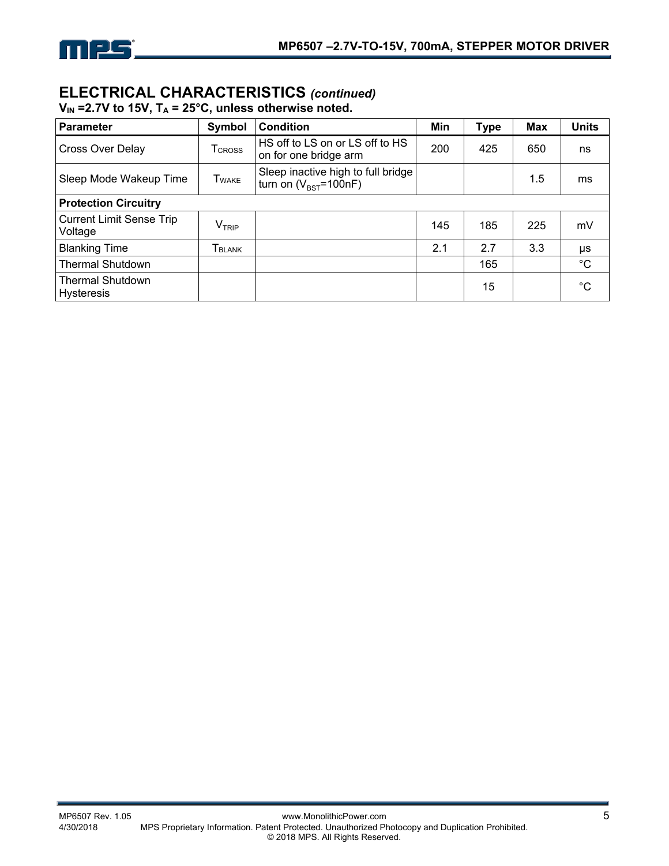

### **ELECTRICAL CHARACTERISTICS** *(continued)*

 $V_{IN}$  =2.7V to 15V,  $T_A$  = 25°C, unless otherwise noted.

| Parameter                                    | Symbol         | <b>Condition</b>                                                  | Min | <b>Type</b> | <b>Max</b> | <b>Units</b> |
|----------------------------------------------|----------------|-------------------------------------------------------------------|-----|-------------|------------|--------------|
| <b>Cross Over Delay</b>                      | <b>T</b> CROSS | HS off to LS on or LS off to HS<br>on for one bridge arm          | 200 | 425         | 650        | ns           |
| Sleep Mode Wakeup Time                       | Twake          | Sleep inactive high to full bridge<br>turn on $(V_{BST} = 100nF)$ |     |             | 1.5        | ms           |
| <b>Protection Circuitry</b>                  |                |                                                                   |     |             |            |              |
| Current Limit Sense Trip<br>Voltage          | $\rm V_{TRIP}$ |                                                                   | 145 | 185         | 225        | mV           |
| <b>Blanking Time</b>                         | TBLANK         |                                                                   | 2.1 | 2.7         | 3.3        | μs           |
| <b>Thermal Shutdown</b>                      |                |                                                                   |     | 165         |            | $^{\circ}C$  |
| <b>Thermal Shutdown</b><br><b>Hysteresis</b> |                |                                                                   |     | 15          |            | $^{\circ}C$  |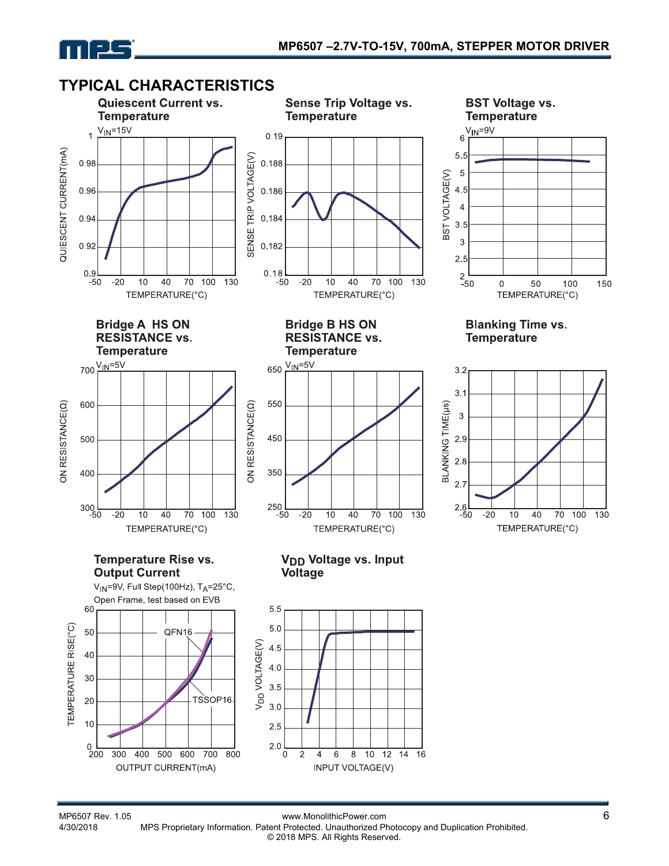



MP6507 Rev. 1.05 www.MonolithicPower.com<br>4/30/2018 MPS Proprietary Information. Patent Protected. Unauthorized Photocopy and Duplication Prohibited. MPS Proprietary Information. Patent Protected. Unauthorized Photocopy and Duplication Prohibited. © 2018 MPS. All Rights Reserved.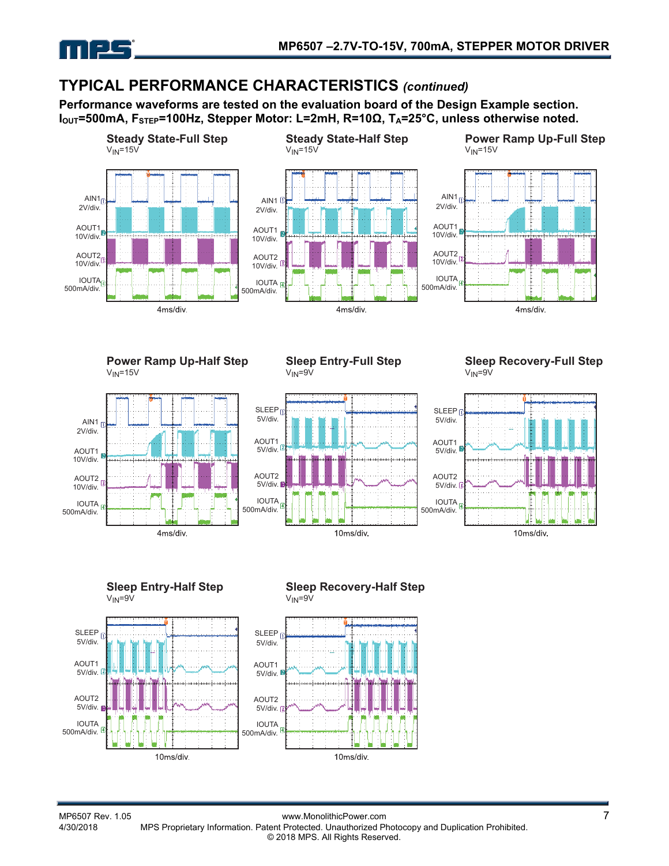

### **TYPICAL PERFORMANCE CHARACTERISTICS** *(continued)*

**Performance waveforms are tested on the evaluation board of the Design Example section.**  I<sub>OUT</sub>=500mA, F<sub>STEP</sub>=100Hz, Stepper Motor: L=2mH, R=10Ω, T<sub>A</sub>=25°C, unless otherwise noted.



**Power Ramp Up-Half Step**  $V_{IN}$ =15 $V$ 



**Sleep Entry-Full Step**  $V_{IN} = 9V$ 



**Sleep Recovery-Full Step**  $V_{IN} = 9V$ 





### **Sleep Recovery-Half Step**

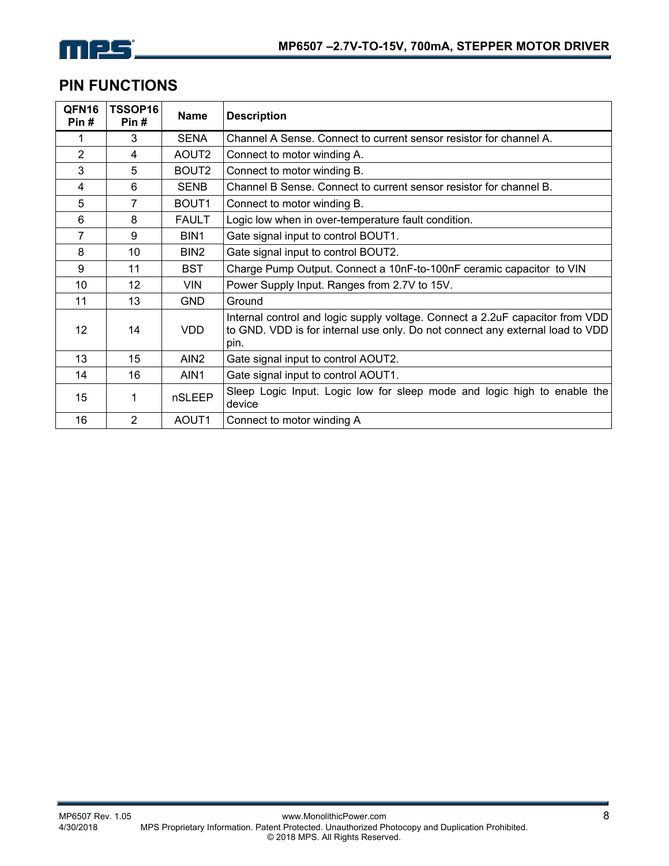# mes

### **PIN FUNCTIONS**

| QFN16<br>Pin#  | TSSOP16<br>Pin# | <b>Name</b>       | <b>Description</b>                                                                                                                                                     |
|----------------|-----------------|-------------------|------------------------------------------------------------------------------------------------------------------------------------------------------------------------|
| 1              | 3               | <b>SENA</b>       | Channel A Sense. Connect to current sensor resistor for channel A.                                                                                                     |
| $\overline{2}$ | 4               | AOUT <sub>2</sub> | Connect to motor winding A.                                                                                                                                            |
| 3              | 5               | BOUT <sub>2</sub> | Connect to motor winding B.                                                                                                                                            |
| 4              | 6               | <b>SENB</b>       | Channel B Sense. Connect to current sensor resistor for channel B.                                                                                                     |
| 5              | $\overline{7}$  | BOUT1             | Connect to motor winding B.                                                                                                                                            |
| 6              | 8               | <b>FAULT</b>      | Logic low when in over-temperature fault condition.                                                                                                                    |
| 7              | 9               | BIN1              | Gate signal input to control BOUT1.                                                                                                                                    |
| 8              | 10              | BIN <sub>2</sub>  | Gate signal input to control BOUT2.                                                                                                                                    |
| 9              | 11              | <b>BST</b>        | Charge Pump Output. Connect a 10nF-to-100nF ceramic capacitor to VIN                                                                                                   |
| 10             | 12              | <b>VIN</b>        | Power Supply Input. Ranges from 2.7V to 15V.                                                                                                                           |
| 11             | 13              | <b>GND</b>        | Ground                                                                                                                                                                 |
| 12             | 14              | <b>VDD</b>        | Internal control and logic supply voltage. Connect a 2.2uF capacitor from VDD<br>to GND. VDD is for internal use only. Do not connect any external load to VDD<br>pin. |
| 13             | 15              | AIN <sub>2</sub>  | Gate signal input to control AOUT2.                                                                                                                                    |
| 14             | 16              | AIN1              | Gate signal input to control AOUT1.                                                                                                                                    |
| 15             | 1               | nSLEEP            | Sleep Logic Input. Logic low for sleep mode and logic high to enable the<br>device                                                                                     |
| 16             | $\overline{2}$  | AOUT1             | Connect to motor winding A                                                                                                                                             |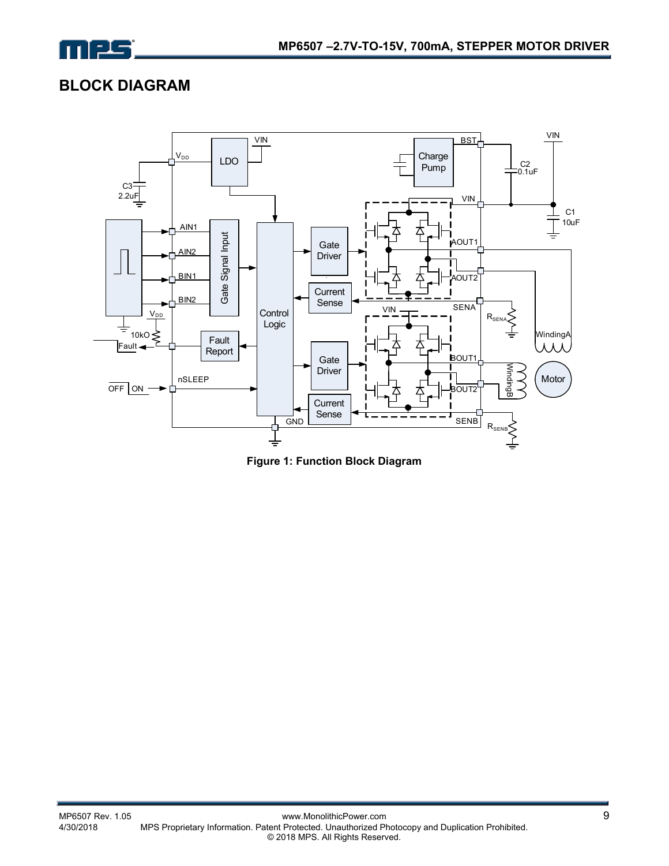

### **BLOCK DIAGRAM**



**Figure 1: Function Block Diagram**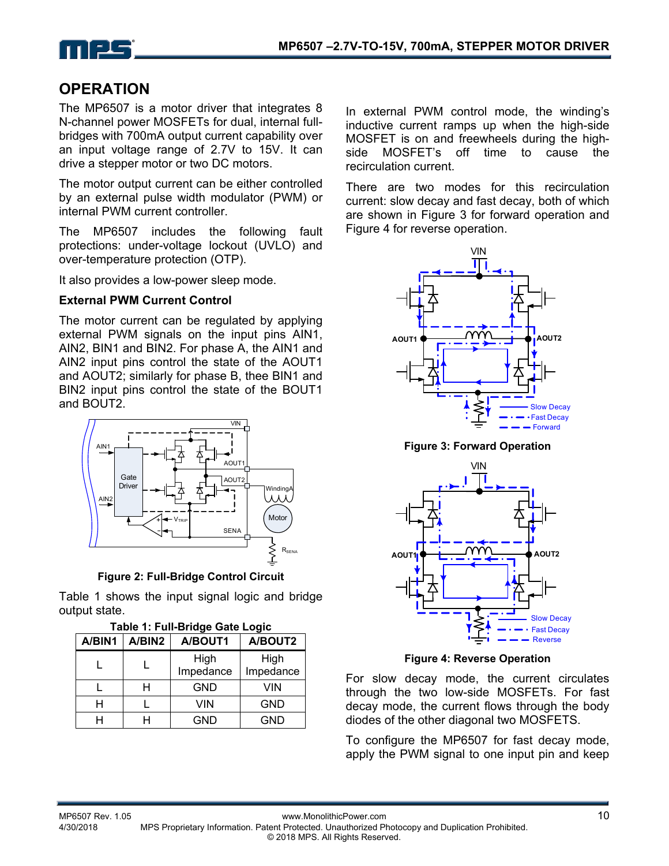

### **OPERATION**

The MP6507 is a motor driver that integrates 8 N-channel power MOSFETs for dual, internal fullbridges with 700mA output current capability over an input voltage range of 2.7V to 15V. It can drive a stepper motor or two DC motors.

The motor output current can be either controlled by an external pulse width modulator (PWM) or internal PWM current controller.

The MP6507 includes the following fault protections: under-voltage lockout (UVLO) and over-temperature protection (OTP).

It also provides a low-power sleep mode.

#### **External PWM Current Control**

The motor current can be regulated by applying external PWM signals on the input pins AIN1, AIN2, BIN1 and BIN2. For phase A, the AIN1 and AIN2 input pins control the state of the AOUT1 and AOUT2; similarly for phase B, thee BIN1 and BIN2 input pins control the state of the BOUT1 and BOUT2.



**Figure 2: Full-Bridge Control Circuit**

Table 1 shows the input signal logic and bridge output state.

| A/BIN1 | A/BIN2 | A/BOUT1           | A/BOUT2           |
|--------|--------|-------------------|-------------------|
|        |        | High<br>Impedance | High<br>Impedance |
|        | н      | <b>GND</b>        | VIN               |
|        |        | VIN               | <b>GND</b>        |
|        |        | <b>GND</b>        | <b>GND</b>        |

|  | Table 1: Full-Bridge Gate Logic |
|--|---------------------------------|
|  |                                 |

In external PWM control mode, the winding's inductive current ramps up when the high-side MOSFET is on and freewheels during the highside MOSFET's off time to cause the recirculation current.

There are two modes for this recirculation current: slow decay and fast decay, both of which are shown in Figure 3 for forward operation and Figure 4 for reverse operation.



**Figure 3: Forward Operation** 



**Figure 4: Reverse Operation**

For slow decay mode, the current circulates through the two low-side MOSFETs. For fast decay mode, the current flows through the body diodes of the other diagonal two MOSFETS.

To configure the MP6507 for fast decay mode, apply the PWM signal to one input pin and keep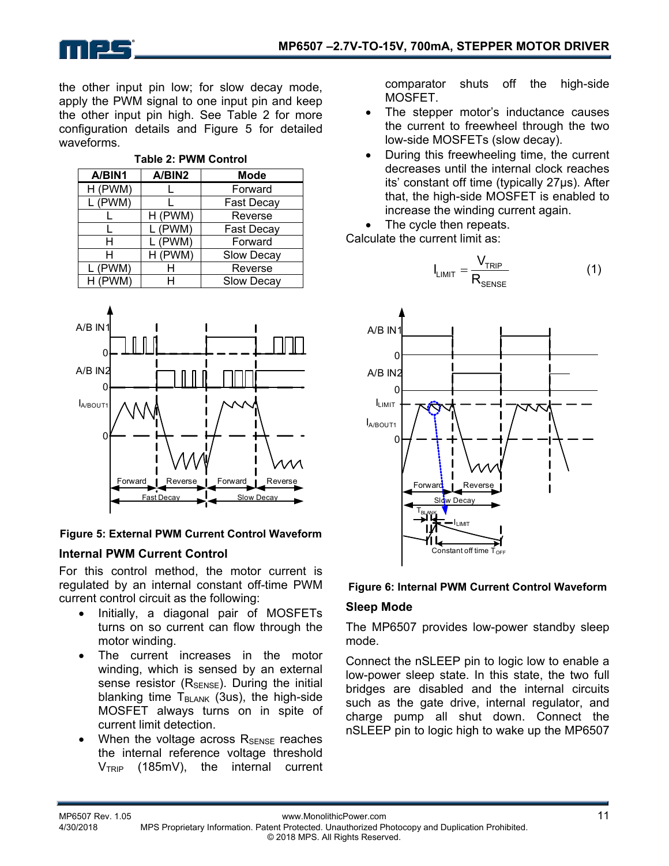

the other input pin low; for slow decay mode, apply the PWM signal to one input pin and keep the other input pin high. See Table 2 for more configuration details and Figure 5 for detailed waveforms.

| A/BIN1  | A/BIN2  | <b>Mode</b>       |  |  |  |  |
|---------|---------|-------------------|--|--|--|--|
| H (PWM) |         | Forward           |  |  |  |  |
| L (PWM) |         | <b>Fast Decay</b> |  |  |  |  |
|         | H (PWM) | Reverse           |  |  |  |  |
|         | L (PWM) | <b>Fast Decay</b> |  |  |  |  |
| н       | L (PWM) | Forward           |  |  |  |  |
| н       | H (PWM) | Slow Decay        |  |  |  |  |
| L (PWM) |         | Reverse           |  |  |  |  |
| H (PWM) |         | <b>Slow Decay</b> |  |  |  |  |

**Table 2: PWM Control** 



#### **Figure 5: External PWM Current Control Waveform**

### **Internal PWM Current Control**

For this control method, the motor current is regulated by an internal constant off-time PWM current control circuit as the following:

- Initially, a diagonal pair of MOSFETs turns on so current can flow through the motor winding.
- The current increases in the motor winding, which is sensed by an external sense resistor  $(R_{\text{SENSE}})$ . During the initial blanking time  $T_{BLANK}$  (3us), the high-side MOSFET always turns on in spite of current limit detection.
- When the voltage across  $R_{\text{SENSE}}$  reaches the internal reference voltage threshold  $V_{TRIP}$  (185mV), the internal current

comparator shuts off the high-side MOSFET.

- The stepper motor's inductance causes the current to freewheel through the two low-side MOSFETs (slow decay).
- During this freewheeling time, the current decreases until the internal clock reaches its' constant off time (typically 27µs). After that, the high-side MOSFET is enabled to increase the winding current again.
- The cycle then repeats.

Calculate the current limit as:

$$
I_{LIMIT} = \frac{V_{TRIP}}{R_{SENSE}}
$$
 (1)



#### **Figure 6: Internal PWM Current Control Waveform**

#### **Sleep Mode**

The MP6507 provides low-power standby sleep mode.

Connect the nSLEEP pin to logic low to enable a low-power sleep state. In this state, the two full bridges are disabled and the internal circuits such as the gate drive, internal regulator, and charge pump all shut down. Connect the nSLEEP pin to logic high to wake up the MP6507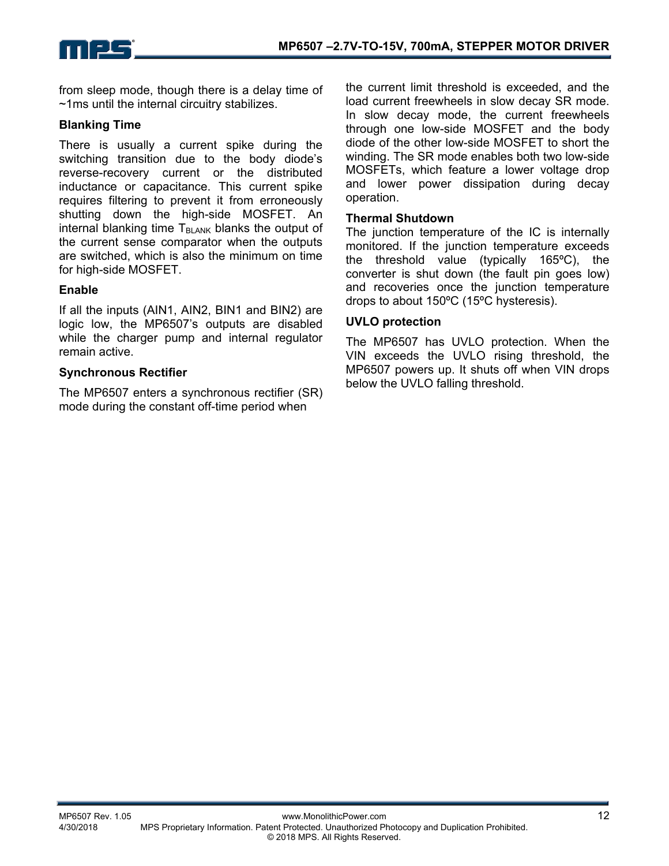

from sleep mode, though there is a delay time of ~1ms until the internal circuitry stabilizes.

#### **Blanking Time**

There is usually a current spike during the switching transition due to the body diode's reverse-recovery current or the distributed inductance or capacitance. This current spike requires filtering to prevent it from erroneously shutting down the high-side MOSFET. An internal blanking time  $T_{BLANK}$  blanks the output of the current sense comparator when the outputs are switched, which is also the minimum on time for high-side MOSFET.

#### **Enable**

If all the inputs (AIN1, AIN2, BIN1 and BIN2) are logic low, the MP6507's outputs are disabled while the charger pump and internal regulator remain active.

#### **Synchronous Rectifier**

The MP6507 enters a synchronous rectifier (SR) mode during the constant off-time period when

the current limit threshold is exceeded, and the load current freewheels in slow decay SR mode. In slow decay mode, the current freewheels through one low-side MOSFET and the body diode of the other low-side MOSFET to short the winding. The SR mode enables both two low-side MOSFETs, which feature a lower voltage drop and lower power dissipation during decay operation.

#### **Thermal Shutdown**

The junction temperature of the IC is internally monitored. If the junction temperature exceeds the threshold value (typically 165ºC), the converter is shut down (the fault pin goes low) and recoveries once the junction temperature drops to about 150ºC (15ºC hysteresis).

#### **UVLO protection**

The MP6507 has UVLO protection. When the VIN exceeds the UVLO rising threshold, the MP6507 powers up. It shuts off when VIN drops below the UVLO falling threshold.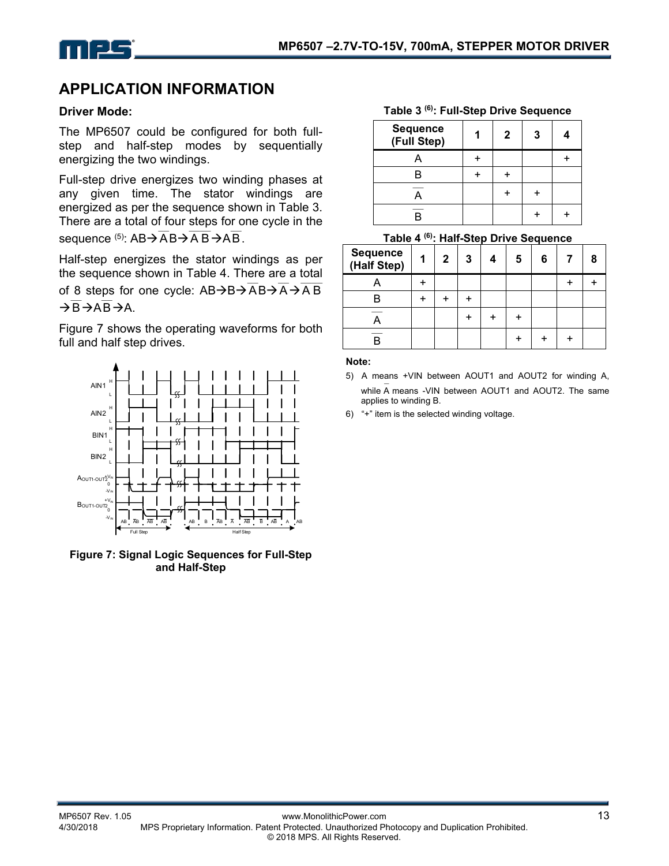

### **APPLICATION INFORMATION**

#### **Driver Mode:**

The MP6507 could be configured for both fullstep and half-step modes by sequentially energizing the two windings.

Full-step drive energizes two winding phases at any given time. The stator windings are energized as per the sequence shown in Table 3. There are a total of four steps for one cycle in the sequence  $^{(5)}$ : AB $\rightarrow$  AB $\rightarrow$  AB $\rightarrow$ AB.

Half-step energizes the stator windings as per the sequence shown in Table 4. There are a total of 8 steps for one cycle:  $AB\rightarrow B\rightarrow \overline{AB} \rightarrow \overline{A}B$ B —— AB —— A.

Figure 7 shows the operating waveforms for both full and half step drives.



**Figure 7: Signal Logic Sequences for Full-Step and Half-Step** 

**Table 3 (6): Full-Step Drive Sequence** 

| Sequence<br>(Full Step) | 2 | 3 |  |
|-------------------------|---|---|--|
|                         |   |   |  |
|                         |   |   |  |
|                         |   |   |  |
|                         |   |   |  |

#### **Table 4 (6): Half-Step Drive Sequence**

| <b>Sequence</b><br>(Half Step) | $\mathbf 1$ | $\mathbf{2}$ | 3 | 4 | 5 | 6 | 8 |
|--------------------------------|-------------|--------------|---|---|---|---|---|
|                                |             |              |   |   |   |   |   |
|                                |             |              |   |   |   |   |   |
|                                |             |              |   |   |   |   |   |
|                                |             |              |   |   |   |   |   |

#### **Note:**

- 5) A means +VIN between AOUT1 and AOUT2 for winding A, while A — means -VIN between AOUT1 and AOUT2. The same applies to winding B.
- 6) "+" item is the selected winding voltage.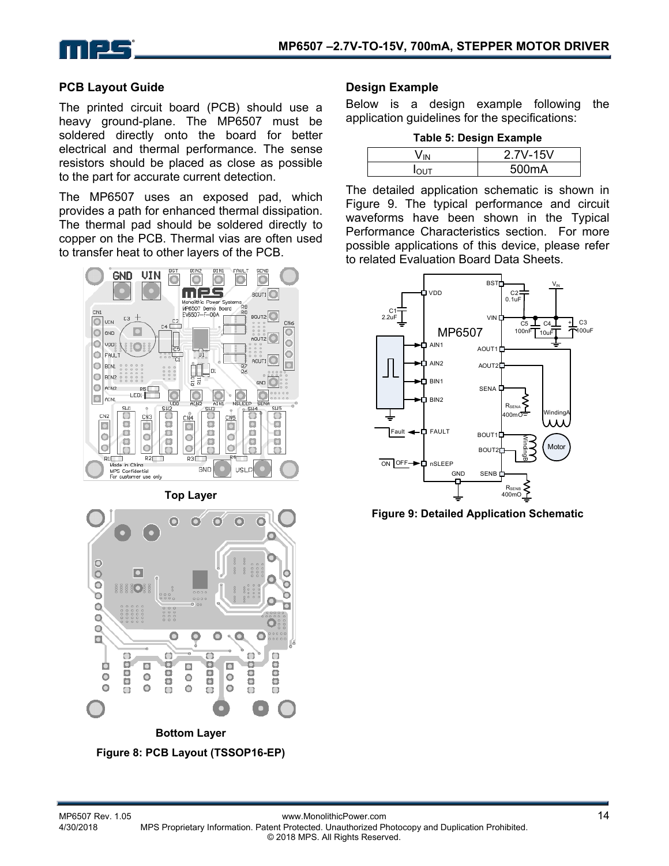



#### **PCB Layout Guide**

The printed circuit board (PCB) should use a heavy ground-plane. The MP6507 must be soldered directly onto the board for better electrical and thermal performance. The sense resistors should be placed as close as possible to the part for accurate current detection.

The MP6507 uses an exposed pad, which provides a path for enhanced thermal dissipation. The thermal pad should be soldered directly to copper on the PCB. Thermal vias are often used to transfer heat to other layers of the PCB.



#### **Design Example**

Below is a design example following the application guidelines for the specifications:

|  |  |  | <b>Table 5: Design Example</b> |
|--|--|--|--------------------------------|
|--|--|--|--------------------------------|

| 2.7V-15V |
|----------|
| 500mA    |

The detailed application schematic is shown in Figure 9. The typical performance and circuit waveforms have been shown in the Typical Performance Characteristics section. For more possible applications of this device, please refer to related Evaluation Board Data Sheets.



**Figure 9: Detailed Application Schematic**

Ō

 $\cup$ 

ø

 $\Box$ 

۰

О

 $\Box$ 

Ô

o

Ò

 $\circ$ 

o

 $\Box$ 

O

 $\Box$ 

 $\circ$ 

۰

Ò

Ō Ō

 $\bullet$ 

Ó

Ó

Ō

o.

 $\Box$ 

O

 $\circ$ 

 $\bullet$ 

 $\circ$ 

 $\bullet$ 

o

 $\cup$ 

o

o

o

Ō

 $\Box$ 

o

ö

o

0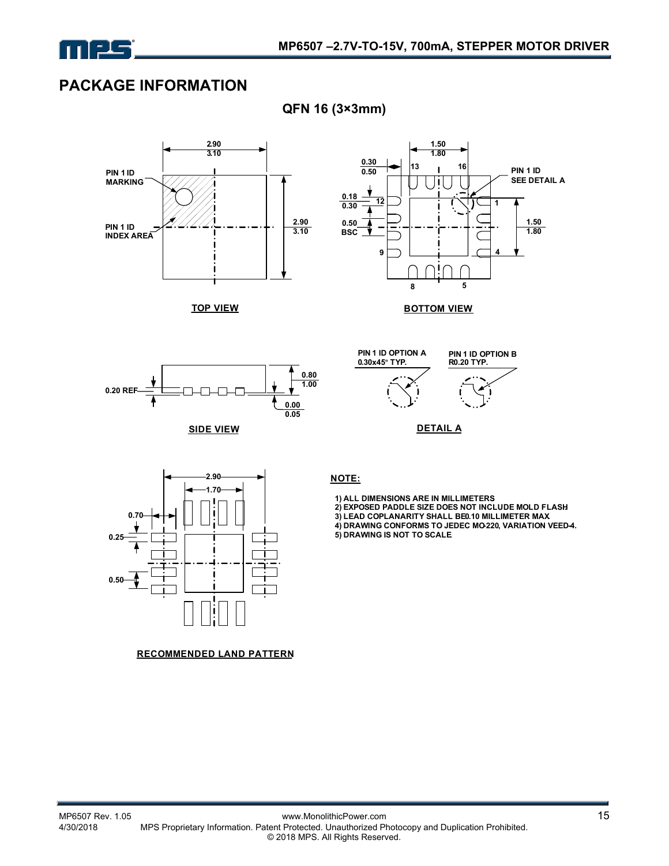

### **PACKAGE INFORMATION**



**TOP VIEW**



#### **BOTTOM VIEW**



**SIDE VIEW**





**DETAIL A**



**RECOMMENDED LAND PATTERN**

**QFN 16 (3×3mm)** 

 **1) ALL DIMENSIONS ARE IN MILLIMETERS. 2) EXPOSED PADDLE SIZE DOES NOT INCLUDE MOLD FLASH.** 3) LEAD COPLANARITY SHALL BE0.10 MILLIMETER MAX  **4) DRAWING CONFORMS TO JEDEC MO-220, VARIATION VEED-4. 5) DRAWING IS NOT TO SCALE.**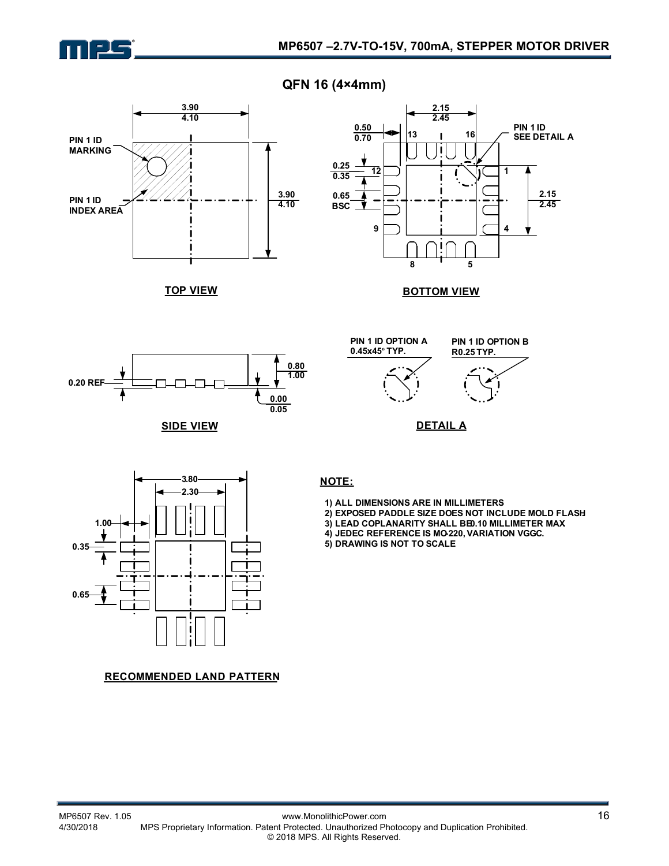

**QFN 16 (4×4mm)** 



**TOP VIEW**



**BOTTOM VIEW**



**SIDE VIEW**

**PIN 1 ID OPTION A 0.45x45º TYP.**



**DETAIL A**



- **1) ALL DIMENSIONS ARE IN MILLIMETERS.**
- **2) EXPOSED PADDLE SIZE DOES NOT INCLUDE MOLD FLASH.**
- 3) LEAD COPLANARITY SHALL BE0.10 MILLIMETER MAX
- **4) JEDEC REFERENCE IS MO-220, VARIATION VGGC.**
- **5) DRAWING IS NOT TO SCALE.**

#### **RECOMMENDED LAND PATTERN**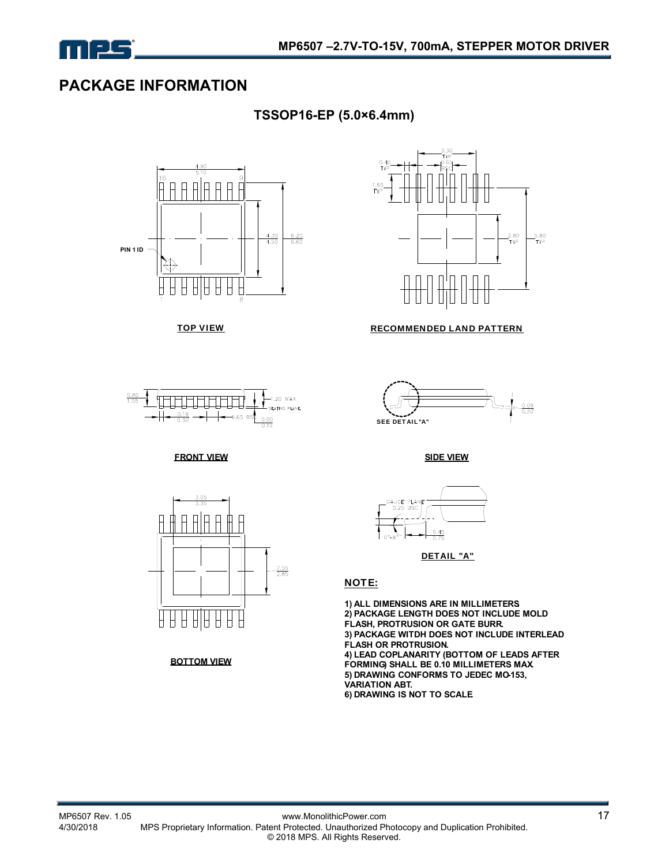

### **PACKAGE INFORMATION**

**TSSOP16-EP (5.0×6.4mm)** 





#### **FRONT VIEW SIDE VIEW**



**BOTTOM VIEW**



#### TOP VIEW **RECOMMENDED LAND PATTERN**





DETAIL "A"

#### NOTE:

**1) ALL DIMENSIONS ARE IN MILLIMETERS. 2) PACKAGE LENGTH DOES NOT INCLUDE MOLD FLASH, PROTRUSION OR GATE BURR. 3) PACKAGE WITDH DOES NOT INCLUDE INTERLEAD FLASH OR PROTRUSION. 4) LEAD COPLANARITY (BOTTOM OF LEADS AFTER FORMING) SHALL BE 0.10 MILLIMETERS MAX. 5) DRAWING CONFORMS TO JEDEC MO-153, VARIATION ABT. 6) DRAWING IS NOT TO SCALE.**